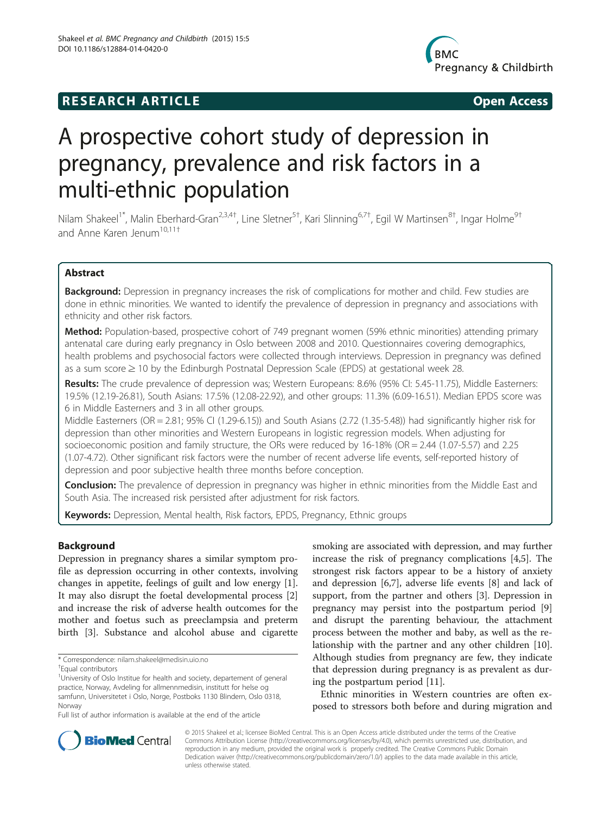## **RESEARCH ARTICLE Example 2014 12:30 The SEAR CHA RESEARCH ARTICLE**



# A prospective cohort study of depression in pregnancy, prevalence and risk factors in a multi-ethnic population

Nilam Shakeel<sup>1\*</sup>, Malin Eberhard-Gran<sup>2,3,4†</sup>, Line Sletner<sup>5†</sup>, Kari Slinning<sup>6,7†</sup>, Egil W Martinsen<sup>8†</sup>, Ingar Holme<sup>9†</sup> and Anne Karen Jenum<sup>10,11†</sup>

## Abstract

Background: Depression in pregnancy increases the risk of complications for mother and child. Few studies are done in ethnic minorities. We wanted to identify the prevalence of depression in pregnancy and associations with ethnicity and other risk factors.

Method: Population-based, prospective cohort of 749 pregnant women (59% ethnic minorities) attending primary antenatal care during early pregnancy in Oslo between 2008 and 2010. Questionnaires covering demographics, health problems and psychosocial factors were collected through interviews. Depression in pregnancy was defined as a sum score  $\geq$  10 by the Edinburgh Postnatal Depression Scale (EPDS) at gestational week 28.

Results: The crude prevalence of depression was; Western Europeans: 8.6% (95% CI: 5.45-11.75), Middle Easterners: 19.5% (12.19-26.81), South Asians: 17.5% (12.08-22.92), and other groups: 11.3% (6.09-16.51). Median EPDS score was 6 in Middle Easterners and 3 in all other groups.

Middle Easterners (OR = 2.81; 95% CI (1.29-6.15)) and South Asians (2.72 (1.35-5.48)) had significantly higher risk for depression than other minorities and Western Europeans in logistic regression models. When adjusting for socioeconomic position and family structure, the ORs were reduced by 16-18% (OR = 2.44 (1.07-5.57) and 2.25 (1.07-4.72). Other significant risk factors were the number of recent adverse life events, self-reported history of depression and poor subjective health three months before conception.

**Conclusion:** The prevalence of depression in pregnancy was higher in ethnic minorities from the Middle East and South Asia. The increased risk persisted after adjustment for risk factors.

Keywords: Depression, Mental health, Risk factors, EPDS, Pregnancy, Ethnic groups

## Background

Depression in pregnancy shares a similar symptom profile as depression occurring in other contexts, involving changes in appetite, feelings of guilt and low energy [\[1](#page-9-0)]. It may also disrupt the foetal developmental process [\[2](#page-9-0)] and increase the risk of adverse health outcomes for the mother and foetus such as preeclampsia and preterm birth [[3\]](#page-9-0). Substance and alcohol abuse and cigarette smoking are associated with depression, and may further increase the risk of pregnancy complications [[4,5\]](#page-9-0). The strongest risk factors appear to be a history of anxiety and depression [\[6,7](#page-9-0)], adverse life events [\[8](#page-9-0)] and lack of support, from the partner and others [\[3](#page-9-0)]. Depression in pregnancy may persist into the postpartum period [\[9](#page-9-0)] and disrupt the parenting behaviour, the attachment process between the mother and baby, as well as the relationship with the partner and any other children [\[10](#page-9-0)]. Although studies from pregnancy are few, they indicate that depression during pregnancy is as prevalent as during the postpartum period [[11](#page-9-0)].

Ethnic minorities in Western countries are often exposed to stressors both before and during migration and



© 2015 Shakeel et al.; licensee BioMed Central. This is an Open Access article distributed under the terms of the Creative Commons Attribution License [\(http://creativecommons.org/licenses/by/4.0\)](http://creativecommons.org/licenses/by/4.0), which permits unrestricted use, distribution, and reproduction in any medium, provided the original work is properly credited. The Creative Commons Public Domain Dedication waiver [\(http://creativecommons.org/publicdomain/zero/1.0/](http://creativecommons.org/publicdomain/zero/1.0/)) applies to the data made available in this article, unless otherwise stated.

<sup>\*</sup> Correspondence: [nilam.shakeel@medisin.uio.no](mailto:nilam.shakeel@medisin.uio.no) †

Equal contributors

<sup>&</sup>lt;sup>1</sup>University of Oslo Institue for health and society, departement of general practice, Norway, Avdeling for allmennmedisin, institutt for helse og samfunn, Universitetet i Oslo, Norge, Postboks 1130 Blindern, Oslo 0318, Norway

Full list of author information is available at the end of the article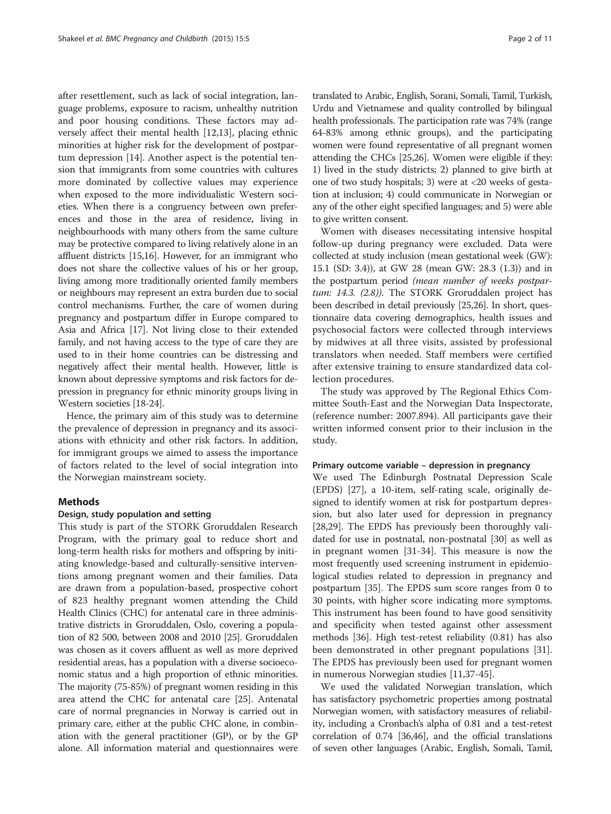after resettlement, such as lack of social integration, language problems, exposure to racism, unhealthy nutrition and poor housing conditions. These factors may adversely affect their mental health [\[12,13](#page-9-0)], placing ethnic minorities at higher risk for the development of postpartum depression [\[14\]](#page-9-0). Another aspect is the potential tension that immigrants from some countries with cultures more dominated by collective values may experience when exposed to the more individualistic Western societies. When there is a congruency between own preferences and those in the area of residence, living in neighbourhoods with many others from the same culture may be protective compared to living relatively alone in an affluent districts [[15,16](#page-9-0)]. However, for an immigrant who does not share the collective values of his or her group, living among more traditionally oriented family members or neighbours may represent an extra burden due to social control mechanisms. Further, the care of women during pregnancy and postpartum differ in Europe compared to Asia and Africa [\[17](#page-9-0)]. Not living close to their extended family, and not having access to the type of care they are used to in their home countries can be distressing and negatively affect their mental health. However, little is known about depressive symptoms and risk factors for depression in pregnancy for ethnic minority groups living in Western societies [\[18-24](#page-9-0)].

Hence, the primary aim of this study was to determine the prevalence of depression in pregnancy and its associations with ethnicity and other risk factors. In addition, for immigrant groups we aimed to assess the importance of factors related to the level of social integration into the Norwegian mainstream society.

## Methods

#### Design, study population and setting

This study is part of the STORK Groruddalen Research Program, with the primary goal to reduce short and long-term health risks for mothers and offspring by initiating knowledge-based and culturally-sensitive interventions among pregnant women and their families. Data are drawn from a population-based, prospective cohort of 823 healthy pregnant women attending the Child Health Clinics (CHC) for antenatal care in three administrative districts in Groruddalen, Oslo, covering a population of 82 500, between 2008 and 2010 [\[25\]](#page-9-0). Groruddalen was chosen as it covers affluent as well as more deprived residential areas, has a population with a diverse socioeconomic status and a high proportion of ethnic minorities. The majority (75-85%) of pregnant women residing in this area attend the CHC for antenatal care [\[25\]](#page-9-0). Antenatal care of normal pregnancies in Norway is carried out in primary care, either at the public CHC alone, in combination with the general practitioner (GP), or by the GP alone. All information material and questionnaires were

translated to Arabic, English, Sorani, Somali, Tamil, Turkish, Urdu and Vietnamese and quality controlled by bilingual health professionals. The participation rate was 74% (range 64-83% among ethnic groups), and the participating women were found representative of all pregnant women attending the CHCs [\[25,26](#page-9-0)]. Women were eligible if they: 1) lived in the study districts; 2) planned to give birth at one of two study hospitals; 3) were at <20 weeks of gestation at inclusion; 4) could communicate in Norwegian or any of the other eight specified languages; and 5) were able to give written consent.

Women with diseases necessitating intensive hospital follow-up during pregnancy were excluded. Data were collected at study inclusion (mean gestational week (GW): 15.1 (SD: 3.4)), at GW 28 (mean GW: 28.3 (1.3)) and in the postpartum period (mean number of weeks postpartum: 14.3. (2.8)). The STORK Groruddalen project has been described in detail previously [[25](#page-9-0),[26](#page-9-0)]. In short, questionnaire data covering demographics, health issues and psychosocial factors were collected through interviews by midwives at all three visits, assisted by professional translators when needed. Staff members were certified after extensive training to ensure standardized data collection procedures.

The study was approved by The Regional Ethics Committee South-East and the Norwegian Data Inspectorate, (reference number: 2007.894). All participants gave their written informed consent prior to their inclusion in the study.

#### Primary outcome variable – depression in pregnancy

We used The Edinburgh Postnatal Depression Scale (EPDS) [\[27](#page-9-0)], a 10-item, self-rating scale, originally designed to identify women at risk for postpartum depression, but also later used for depression in pregnancy [[28,29\]](#page-9-0). The EPDS has previously been thoroughly validated for use in postnatal, non-postnatal [[30](#page-9-0)] as well as in pregnant women [[31-34](#page-9-0)]. This measure is now the most frequently used screening instrument in epidemiological studies related to depression in pregnancy and postpartum [[35](#page-9-0)]. The EPDS sum score ranges from 0 to 30 points, with higher score indicating more symptoms. This instrument has been found to have good sensitivity and specificity when tested against other assessment methods [\[36](#page-9-0)]. High test-retest reliability (0.81) has also been demonstrated in other pregnant populations [\[31](#page-9-0)]. The EPDS has previously been used for pregnant women in numerous Norwegian studies [[11](#page-9-0),[37](#page-10-0)-[45\]](#page-10-0).

We used the validated Norwegian translation, which has satisfactory psychometric properties among postnatal Norwegian women, with satisfactory measures of reliability, including a Cronbach's alpha of 0.81 and a test-retest correlation of 0.74 [\[36,](#page-9-0)[46](#page-10-0)], and the official translations of seven other languages (Arabic, English, Somali, Tamil,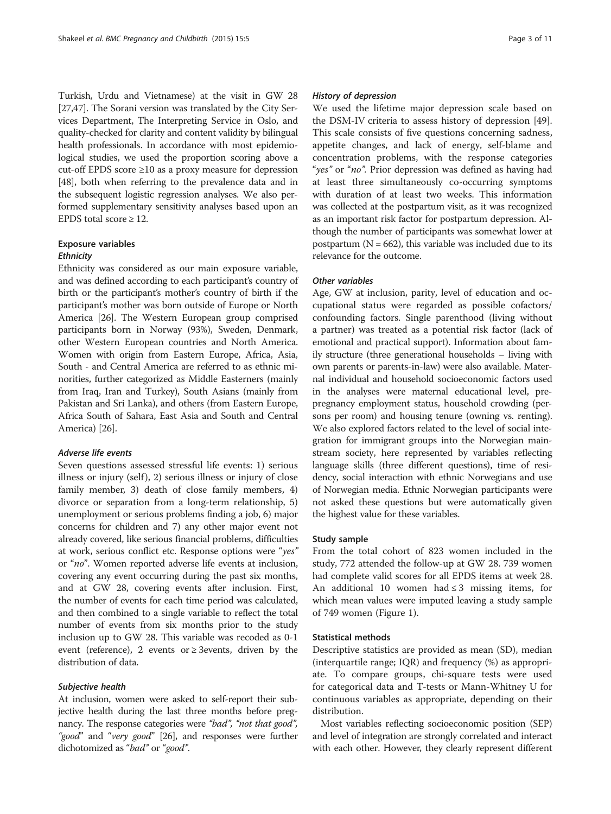Turkish, Urdu and Vietnamese) at the visit in GW 28 [[27](#page-9-0)[,47](#page-10-0)]. The Sorani version was translated by the City Services Department, The Interpreting Service in Oslo, and quality-checked for clarity and content validity by bilingual health professionals. In accordance with most epidemiological studies, we used the proportion scoring above a cut-off EPDS score ≥10 as a proxy measure for depression [[48](#page-10-0)], both when referring to the prevalence data and in the subsequent logistic regression analyses. We also performed supplementary sensitivity analyses based upon an EPDS total score  $\geq$  12.

## Exposure variables

## **Ethnicity**

Ethnicity was considered as our main exposure variable, and was defined according to each participant's country of birth or the participant's mother's country of birth if the participant's mother was born outside of Europe or North America [\[26](#page-9-0)]. The Western European group comprised participants born in Norway (93%), Sweden, Denmark, other Western European countries and North America. Women with origin from Eastern Europe, Africa, Asia, South - and Central America are referred to as ethnic minorities, further categorized as Middle Easterners (mainly from Iraq, Iran and Turkey), South Asians (mainly from Pakistan and Sri Lanka), and others (from Eastern Europe, Africa South of Sahara, East Asia and South and Central America) [\[26\]](#page-9-0).

#### Adverse life events

Seven questions assessed stressful life events: 1) serious illness or injury (self),  $2$ ) serious illness or injury of close family member, 3) death of close family members, 4) divorce or separation from a long-term relationship, 5) unemployment or serious problems finding a job, 6) major concerns for children and 7) any other major event not already covered, like serious financial problems, difficulties at work, serious conflict etc. Response options were "yes" or "no". Women reported adverse life events at inclusion, covering any event occurring during the past six months, and at GW 28, covering events after inclusion. First, the number of events for each time period was calculated, and then combined to a single variable to reflect the total number of events from six months prior to the study inclusion up to GW 28. This variable was recoded as 0-1 event (reference), 2 events or  $\geq$  3 events, driven by the distribution of data.

## Subjective health

At inclusion, women were asked to self-report their subjective health during the last three months before pregnancy. The response categories were "bad", "not that good", "good" and "very good" [[26](#page-9-0)], and responses were further dichotomized as "bad" or "good".

#### History of depression

We used the lifetime major depression scale based on the DSM-IV criteria to assess history of depression [\[49](#page-10-0)]. This scale consists of five questions concerning sadness, appetite changes, and lack of energy, self-blame and concentration problems, with the response categories "yes" or "no". Prior depression was defined as having had at least three simultaneously co-occurring symptoms with duration of at least two weeks. This information was collected at the postpartum visit, as it was recognized as an important risk factor for postpartum depression. Although the number of participants was somewhat lower at postpartum ( $N = 662$ ), this variable was included due to its relevance for the outcome.

#### Other variables

Age, GW at inclusion, parity, level of education and occupational status were regarded as possible cofactors/ confounding factors. Single parenthood (living without a partner) was treated as a potential risk factor (lack of emotional and practical support). Information about family structure (three generational households – living with own parents or parents-in-law) were also available. Maternal individual and household socioeconomic factors used in the analyses were maternal educational level, prepregnancy employment status, household crowding (persons per room) and housing tenure (owning vs. renting). We also explored factors related to the level of social integration for immigrant groups into the Norwegian mainstream society, here represented by variables reflecting language skills (three different questions), time of residency, social interaction with ethnic Norwegians and use of Norwegian media. Ethnic Norwegian participants were not asked these questions but were automatically given the highest value for these variables.

#### Study sample

From the total cohort of 823 women included in the study, 772 attended the follow-up at GW 28. 739 women had complete valid scores for all EPDS items at week 28. An additional 10 women had  $\leq$  3 missing items, for which mean values were imputed leaving a study sample of 749 women (Figure [1\)](#page-3-0).

#### Statistical methods

Descriptive statistics are provided as mean (SD), median (interquartile range; IQR) and frequency (%) as appropriate. To compare groups, chi-square tests were used for categorical data and T-tests or Mann-Whitney U for continuous variables as appropriate, depending on their distribution.

Most variables reflecting socioeconomic position (SEP) and level of integration are strongly correlated and interact with each other. However, they clearly represent different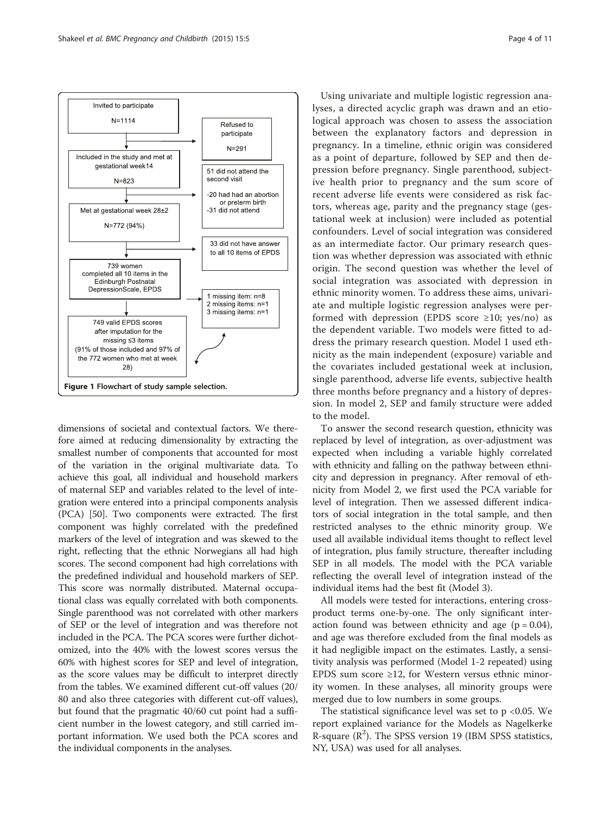<span id="page-3-0"></span>

dimensions of societal and contextual factors. We therefore aimed at reducing dimensionality by extracting the smallest number of components that accounted for most of the variation in the original multivariate data. To achieve this goal, all individual and household markers of maternal SEP and variables related to the level of integration were entered into a principal components analysis (PCA) [\[50](#page-10-0)]. Two components were extracted. The first component was highly correlated with the predefined markers of the level of integration and was skewed to the right, reflecting that the ethnic Norwegians all had high scores. The second component had high correlations with the predefined individual and household markers of SEP. This score was normally distributed. Maternal occupational class was equally correlated with both components. Single parenthood was not correlated with other markers of SEP or the level of integration and was therefore not included in the PCA. The PCA scores were further dichotomized, into the 40% with the lowest scores versus the 60% with highest scores for SEP and level of integration, as the score values may be difficult to interpret directly from the tables. We examined different cut-off values (20/ 80 and also three categories with different cut-off values), but found that the pragmatic 40/60 cut point had a sufficient number in the lowest category, and still carried important information. We used both the PCA scores and the individual components in the analyses.

Using univariate and multiple logistic regression analyses, a directed acyclic graph was drawn and an etiological approach was chosen to assess the association between the explanatory factors and depression in pregnancy. In a timeline, ethnic origin was considered as a point of departure, followed by SEP and then depression before pregnancy. Single parenthood, subjective health prior to pregnancy and the sum score of recent adverse life events were considered as risk factors, whereas age, parity and the pregnancy stage (gestational week at inclusion) were included as potential confounders. Level of social integration was considered as an intermediate factor. Our primary research question was whether depression was associated with ethnic origin. The second question was whether the level of social integration was associated with depression in ethnic minority women. To address these aims, univariate and multiple logistic regression analyses were performed with depression (EPDS score  $\geq 10$ ; yes/no) as the dependent variable. Two models were fitted to address the primary research question. Model 1 used ethnicity as the main independent (exposure) variable and the covariates included gestational week at inclusion, single parenthood, adverse life events, subjective health three months before pregnancy and a history of depression. In model 2, SEP and family structure were added to the model.

To answer the second research question, ethnicity was replaced by level of integration, as over-adjustment was expected when including a variable highly correlated with ethnicity and falling on the pathway between ethnicity and depression in pregnancy. After removal of ethnicity from Model 2, we first used the PCA variable for level of integration. Then we assessed different indicators of social integration in the total sample, and then restricted analyses to the ethnic minority group. We used all available individual items thought to reflect level of integration, plus family structure, thereafter including SEP in all models. The model with the PCA variable reflecting the overall level of integration instead of the individual items had the best fit (Model 3).

All models were tested for interactions, entering crossproduct terms one-by-one. The only significant interaction found was between ethnicity and age  $(p = 0.04)$ , and age was therefore excluded from the final models as it had negligible impact on the estimates. Lastly, a sensitivity analysis was performed (Model 1-2 repeated) using EPDS sum score ≥12, for Western versus ethnic minority women. In these analyses, all minority groups were merged due to low numbers in some groups.

The statistical significance level was set to  $p < 0.05$ . We report explained variance for the Models as Nagelkerke R-square  $(R^2)$ . The SPSS version 19 (IBM SPSS statistics, NY, USA) was used for all analyses.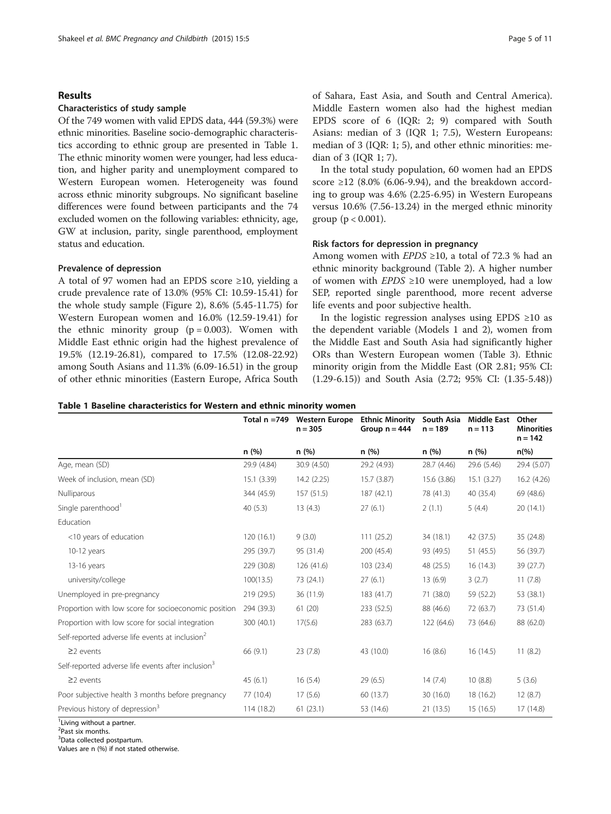#### Results

## Characteristics of study sample

Of the 749 women with valid EPDS data, 444 (59.3%) were ethnic minorities. Baseline socio-demographic characteristics according to ethnic group are presented in Table 1. The ethnic minority women were younger, had less education, and higher parity and unemployment compared to Western European women. Heterogeneity was found across ethnic minority subgroups. No significant baseline differences were found between participants and the 74 excluded women on the following variables: ethnicity, age, GW at inclusion, parity, single parenthood, employment status and education.

#### Prevalence of depression

A total of 97 women had an EPDS score ≥10, yielding a crude prevalence rate of 13.0% (95% CI: 10.59-15.41) for the whole study sample (Figure [2\)](#page-5-0), 8.6% (5.45-11.75) for Western European women and 16.0% (12.59-19.41) for the ethnic minority group  $(p = 0.003)$ . Women with Middle East ethnic origin had the highest prevalence of 19.5% (12.19-26.81), compared to 17.5% (12.08-22.92) among South Asians and 11.3% (6.09-16.51) in the group of other ethnic minorities (Eastern Europe, Africa South

of Sahara, East Asia, and South and Central America). Middle Eastern women also had the highest median EPDS score of 6 (IQR: 2; 9) compared with South Asians: median of 3 (IQR 1; 7.5), Western Europeans: median of 3 (IQR: 1; 5), and other ethnic minorities: median of 3 (IQR 1; 7).

In the total study population, 60 women had an EPDS score  $\geq$ 12 (8.0% (6.06-9.94), and the breakdown according to group was 4.6% (2.25-6.95) in Western Europeans versus 10.6% (7.56-13.24) in the merged ethnic minority group ( $p < 0.001$ ).

## Risk factors for depression in pregnancy

Among women with  $EPDS \ge 10$ , a total of 72.3 % had an ethnic minority background (Table [2\)](#page-5-0). A higher number of women with  $EPDS ≥ 10$  were unemployed, had a low SEP, reported single parenthood, more recent adverse life events and poor subjective health.

In the logistic regression analyses using EPDS ≥10 as the dependent variable (Models 1 and 2), women from the Middle East and South Asia had significantly higher ORs than Western European women (Table [3](#page-6-0)). Ethnic minority origin from the Middle East (OR 2.81; 95% CI: (1.29-6.15)) and South Asia (2.72; 95% CI: (1.35-5.48))

| Table 1 Baseline characteristics for Western and ethnic minority women |  |
|------------------------------------------------------------------------|--|
|------------------------------------------------------------------------|--|

|                                                                | Total $n = 749$ | <b>Western Europe</b><br>$n = 305$ | <b>Ethnic Minority</b><br>Group $n = 444$ | South Asia<br>$n = 189$ | <b>Middle East</b><br>$n = 113$ | Other<br><b>Minorities</b><br>$n = 142$<br>$n\frac{6}{6}$ |  |
|----------------------------------------------------------------|-----------------|------------------------------------|-------------------------------------------|-------------------------|---------------------------------|-----------------------------------------------------------|--|
|                                                                | n(%)            | n(%)                               | n(%)                                      | n(%)                    | n(%)                            |                                                           |  |
| Age, mean (SD)                                                 | 29.9 (4.84)     | 30.9 (4.50)                        | 29.2 (4.93)                               | 28.7 (4.46)             | 29.6 (5.46)                     | 29.4 (5.07)                                               |  |
| Week of inclusion, mean (SD)                                   | 15.1(3.39)      | 14.2(2.25)                         | 15.7 (3.87)                               | 15.6 (3.86)             | 15.1(3.27)                      | 16.2 (4.26)                                               |  |
| Nulliparous                                                    | 344 (45.9)      | 157 (51.5)                         | 187 (42.1)                                | 78 (41.3)               | 40 (35.4)                       | 69 (48.6)                                                 |  |
| Single parenthood                                              | 40(5.3)         | 13(4.3)                            | 27(6.1)                                   | 2(1.1)                  | 5(4.4)                          | 20(14.1)                                                  |  |
| Education                                                      |                 |                                    |                                           |                         |                                 |                                                           |  |
| <10 years of education                                         | 120(16.1)       | 9(3.0)                             | 111(25.2)                                 | 34 (18.1)               | 42 (37.5)                       | 35 (24.8)                                                 |  |
| 10-12 years                                                    | 295 (39.7)      | 95 (31.4)                          | 200 (45.4)                                | 93 (49.5)               | 51(45.5)                        | 56 (39.7)                                                 |  |
| 13-16 years                                                    | 229 (30.8)      | 126 (41.6)                         | 103 (23.4)                                | 48 (25.5)               | 16(14.3)                        | 39 (27.7)                                                 |  |
| university/college                                             | 100(13.5)       | 73 (24.1)                          | 27(6.1)                                   | 13(6.9)                 | 3(2.7)                          | 11(7.8)                                                   |  |
| Unemployed in pre-pregnancy                                    | 219 (29.5)      | 36 (11.9)                          | 183 (41.7)                                | 71 (38.0)               | 59 (52.2)                       | 53 (38.1)                                                 |  |
| Proportion with low score for socioeconomic position           | 294 (39.3)      | 61(20)                             | 233 (52.5)                                | 88 (46.6)               | 72 (63.7)                       | 73 (51.4)                                                 |  |
| Proportion with low score for social integration               | 300(40.1)       | 17(5.6)                            | 283 (63.7)                                | 122 (64.6)              | 73 (64.6)                       | 88 (62.0)                                                 |  |
| Self-reported adverse life events at inclusion <sup>2</sup>    |                 |                                    |                                           |                         |                                 |                                                           |  |
| $\geq$ 2 events                                                | 66 (9.1)        | 23(7.8)                            | 43 (10.0)                                 | 16(8.6)                 | 16(14.5)                        | 11(8.2)                                                   |  |
| Self-reported adverse life events after inclusion <sup>3</sup> |                 |                                    |                                           |                         |                                 |                                                           |  |
| $\geq$ 2 events                                                | 45(6.1)         | 16(5.4)                            | 29(6.5)                                   | 14(7.4)                 | 10(8.8)                         | 5(3.6)                                                    |  |
| Poor subjective health 3 months before pregnancy               | 77 (10.4)       | 17(5.6)                            | 60 (13.7)                                 | 30(16.0)                | 18 (16.2)                       | 12(8.7)                                                   |  |
| Previous history of depression <sup>3</sup>                    | 114 (18.2)      | 61(23.1)                           | 53 (14.6)                                 | 21(13.5)                | 15(16.5)                        | 17 (14.8)                                                 |  |

<sup>1</sup> Living without a partner.

<sup>2</sup>Past six months.

<sup>3</sup>Data collected postpartum.

Values are n (%) if not stated otherwise.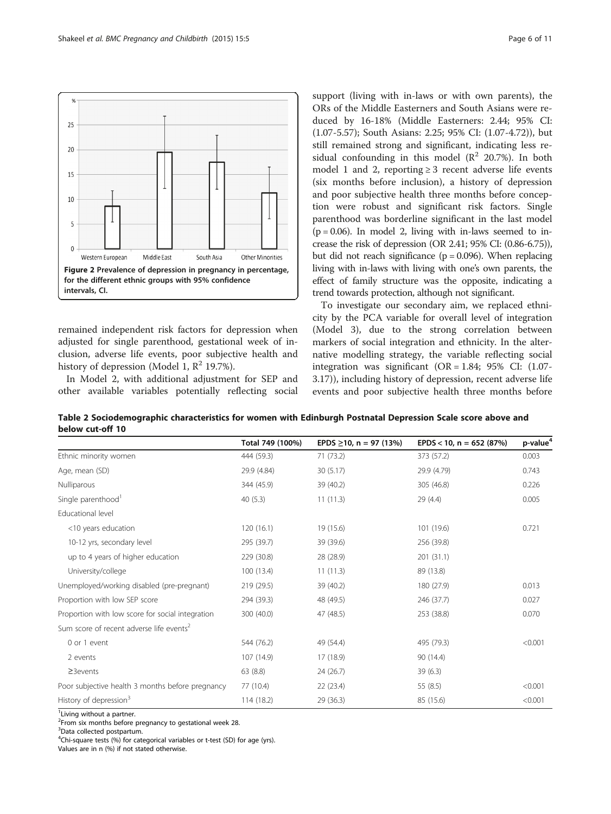<span id="page-5-0"></span>

remained independent risk factors for depression when adjusted for single parenthood, gestational week of inclusion, adverse life events, poor subjective health and history of depression (Model 1,  $\mathbb{R}^2$  19.7%).

In Model 2, with additional adjustment for SEP and other available variables potentially reflecting social support (living with in-laws or with own parents), the ORs of the Middle Easterners and South Asians were reduced by 16-18% (Middle Easterners: 2.44; 95% CI: (1.07-5.57); South Asians: 2.25; 95% CI: (1.07-4.72)), but still remained strong and significant, indicating less residual confounding in this model  $(R^2 20.7%)$ . In both model 1 and 2, reporting  $\geq$  3 recent adverse life events (six months before inclusion), a history of depression and poor subjective health three months before conception were robust and significant risk factors. Single parenthood was borderline significant in the last model  $(p = 0.06)$ . In model 2, living with in-laws seemed to increase the risk of depression (OR 2.41; 95% CI: (0.86-6.75)), but did not reach significance ( $p = 0.096$ ). When replacing living with in-laws with living with one's own parents, the effect of family structure was the opposite, indicating a trend towards protection, although not significant.

To investigate our secondary aim, we replaced ethnicity by the PCA variable for overall level of integration (Model 3), due to the strong correlation between markers of social integration and ethnicity. In the alternative modelling strategy, the variable reflecting social integration was significant  $(OR = 1.84; 95\% \text{ CI: } (1.07 -$ 3.17)), including history of depression, recent adverse life events and poor subjective health three months before

Table 2 Sociodemographic characteristics for women with Edinburgh Postnatal Depression Scale score above and below cut-off 10

|                                                      | Total 749 (100%) | EPDS $\geq$ 10, n = 97 (13%) | EPDS < 10, $n = 652$ (87%) | p-value <sup>4</sup> |
|------------------------------------------------------|------------------|------------------------------|----------------------------|----------------------|
| Ethnic minority women                                | 444 (59.3)       | 71 (73.2)                    | 373 (57.2)                 | 0.003                |
| Age, mean (SD)                                       | 29.9 (4.84)      | 30(5.17)                     | 29.9 (4.79)                | 0.743                |
| Nulliparous                                          | 344 (45.9)       | 39 (40.2)                    | 305 (46.8)                 | 0.226                |
| Single parenthood                                    | 40(5.3)          | 11(11.3)                     | 29 (4.4)                   | 0.005                |
| Educational level                                    |                  |                              |                            |                      |
| <10 years education                                  | 120(16.1)        | 19 (15.6)                    | 101 (19.6)                 | 0.721                |
| 10-12 yrs, secondary level                           | 295 (39.7)       | 39 (39.6)                    | 256 (39.8)                 |                      |
| up to 4 years of higher education                    | 229 (30.8)       | 28 (28.9)                    | 201 (31.1)                 |                      |
| University/college                                   | 100 (13.4)       | 11(11.3)                     | 89 (13.8)                  |                      |
| Unemployed/working disabled (pre-pregnant)           | 219 (29.5)       | 39 (40.2)                    | 180 (27.9)                 | 0.013                |
| Proportion with low SEP score                        | 294 (39.3)       | 48 (49.5)                    | 246 (37.7)                 | 0.027                |
| Proportion with low score for social integration     | 300 (40.0)       | 47 (48.5)                    | 253 (38.8)                 | 0.070                |
| Sum score of recent adverse life events <sup>2</sup> |                  |                              |                            |                      |
| 0 or 1 event                                         | 544 (76.2)       | 49 (54.4)                    | 495 (79.3)                 | < 0.001              |
| 2 events                                             | 107 (14.9)       | 17 (18.9)                    | 90 (14.4)                  |                      |
| $\geq$ 3events                                       | 63(8.8)          | 24(26.7)                     | 39(6.3)                    |                      |
| Poor subjective health 3 months before pregnancy     | 77 (10.4)        | 22(23.4)                     | 55 (8.5)                   | < 0.001              |
| History of depression <sup>3</sup>                   | 114 (18.2)       | 29(36.3)                     | 85 (15.6)                  | < 0.001              |

<sup>1</sup> Living without a partner.

<sup>2</sup> From six months before pregnancy to gestational week 28.

<sup>3</sup>Data collected postpartum.

<sup>4</sup>Chi-square tests (%) for categorical variables or t-test (SD) for age (yrs).

Values are in n (%) if not stated otherwise.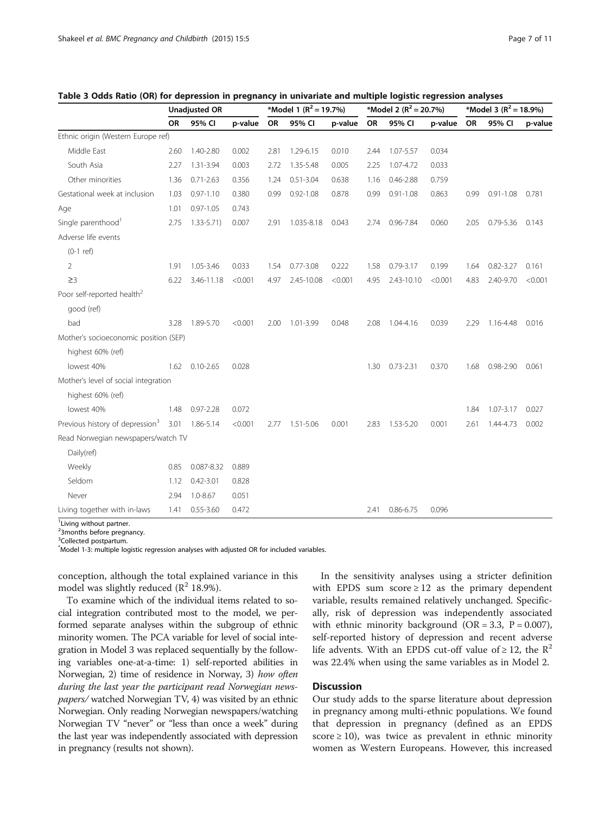|                                             | <b>Unadjusted OR</b> |               |         | *Model 1 ( $R^2$ = 19.7%) |               |         | *Model 2 ( $R^2$ = 20.7%) |               |         | *Model 3 ( $R^2$ = 18.9%) |               |         |
|---------------------------------------------|----------------------|---------------|---------|---------------------------|---------------|---------|---------------------------|---------------|---------|---------------------------|---------------|---------|
|                                             | <b>OR</b>            | 95% CI        | p-value | OR                        | 95% CI        | p-value | OR                        | 95% CI        | p-value | OR                        | 95% CI        | p-value |
| Ethnic origin (Western Europe ref)          |                      |               |         |                           |               |         |                           |               |         |                           |               |         |
| Middle East                                 | 2.60                 | 1.40-2.80     | 0.002   | 2.81                      | 1.29-6.15     | 0.010   | 2.44                      | 1.07-5.57     | 0.034   |                           |               |         |
| South Asia                                  | 2.27                 | 1.31-3.94     | 0.003   | 2.72                      | 1.35-5.48     | 0.005   | 2.25                      | 1.07-4.72     | 0.033   |                           |               |         |
| Other minorities                            | 1.36                 | $0.71 - 2.63$ | 0.356   | 1.24                      | $0.51 - 3.04$ | 0.638   | 1.16                      | $0.46 - 2.88$ | 0.759   |                           |               |         |
| Gestational week at inclusion               | 1.03                 | $0.97 - 1.10$ | 0.380   | 0.99                      | $0.92 - 1.08$ | 0.878   | 0.99                      | $0.91 - 1.08$ | 0.863   | 0.99                      | $0.91 - 1.08$ | 0.781   |
| Age                                         | 1.01                 | $0.97 - 1.05$ | 0.743   |                           |               |         |                           |               |         |                           |               |         |
| Single parenthood <sup>1</sup>              | 2.75                 | $1.33 - 5.71$ | 0.007   | 2.91                      | 1.035-8.18    | 0.043   | 2.74                      | 0.96-7.84     | 0.060   | 2.05                      | $0.79 - 5.36$ | 0.143   |
| Adverse life events                         |                      |               |         |                           |               |         |                           |               |         |                           |               |         |
| $(0-1$ ref)                                 |                      |               |         |                           |               |         |                           |               |         |                           |               |         |
| $\overline{2}$                              | 1.91                 | 1.05-3.46     | 0.033   | 1.54                      | $0.77 - 3.08$ | 0.222   | 1.58                      | $0.79 - 3.17$ | 0.199   | 1.64                      | $0.82 - 3.27$ | 0.161   |
| $\geq$ 3                                    | 6.22                 | 3.46-11.18    | < 0.001 | 4.97                      | 2.45-10.08    | < 0.001 | 4.95                      | 2.43-10.10    | < 0.001 | 4.83                      | 2.40-9.70     | < 0.001 |
| Poor self-reported health <sup>2</sup>      |                      |               |         |                           |               |         |                           |               |         |                           |               |         |
| good (ref)                                  |                      |               |         |                           |               |         |                           |               |         |                           |               |         |
| bad                                         | 3.28                 | 1.89-5.70     | < 0.001 | 2.00                      | 1.01-3.99     | 0.048   | 2.08                      | 1.04-4.16     | 0.039   | 2.29                      | 1.16-4.48     | 0.016   |
| Mother's socioeconomic position (SEP)       |                      |               |         |                           |               |         |                           |               |         |                           |               |         |
| highest 60% (ref)                           |                      |               |         |                           |               |         |                           |               |         |                           |               |         |
| lowest 40%                                  | 1.62                 | $0.10 - 2.65$ | 0.028   |                           |               |         | 1.30                      | $0.73 - 2.31$ | 0.370   | 1.68                      | $0.98 - 2.90$ | 0.061   |
| Mother's level of social integration        |                      |               |         |                           |               |         |                           |               |         |                           |               |         |
| highest 60% (ref)                           |                      |               |         |                           |               |         |                           |               |         |                           |               |         |
| lowest 40%                                  | 1.48                 | $0.97 - 2.28$ | 0.072   |                           |               |         |                           |               |         | 1.84                      | 1.07-3.17     | 0.027   |
| Previous history of depression <sup>3</sup> | 3.01                 | 1.86-5.14     | < 0.001 | 2.77                      | 1.51-5.06     | 0.001   | 2.83                      | 1.53-5.20     | 0.001   | 2.61                      | 1.44-4.73     | 0.002   |
| Read Norwegian newspapers/watch TV          |                      |               |         |                           |               |         |                           |               |         |                           |               |         |
| Daily(ref)                                  |                      |               |         |                           |               |         |                           |               |         |                           |               |         |
| Weekly                                      | 0.85                 | 0.087-8.32    | 0.889   |                           |               |         |                           |               |         |                           |               |         |
| Seldom                                      | 1.12                 | $0.42 - 3.01$ | 0.828   |                           |               |         |                           |               |         |                           |               |         |
| Never                                       | 2.94                 | $1.0 - 8.67$  | 0.051   |                           |               |         |                           |               |         |                           |               |         |
| Living together with in-laws                | 1.41                 | $0.55 - 3.60$ | 0.472   |                           |               |         | 2.41                      | $0.86 - 6.75$ | 0.096   |                           |               |         |

#### <span id="page-6-0"></span>Table 3 Odds Ratio (OR) for depression in pregnancy in univariate and multiple logistic regression analyses

<sup>1</sup> Living without partner.

<sup>2</sup>3 months before pregnancy.

<sup>3</sup>Collected postpartum.

\* Model 1-3: multiple logistic regression analyses with adjusted OR for included variables.

conception, although the total explained variance in this model was slightly reduced ( $\mathbb{R}^2$  18.9%).

To examine which of the individual items related to social integration contributed most to the model, we performed separate analyses within the subgroup of ethnic minority women. The PCA variable for level of social integration in Model 3 was replaced sequentially by the following variables one-at-a-time: 1) self-reported abilities in Norwegian, 2) time of residence in Norway, 3) how often during the last year the participant read Norwegian newspapers/ watched Norwegian TV, 4) was visited by an ethnic Norwegian. Only reading Norwegian newspapers/watching Norwegian TV "never" or "less than once a week" during the last year was independently associated with depression in pregnancy (results not shown).

In the sensitivity analyses using a stricter definition with EPDS sum score  $\geq 12$  as the primary dependent variable, results remained relatively unchanged. Specifically, risk of depression was independently associated with ethnic minority background (OR = 3.3,  $P = 0.007$ ), self-reported history of depression and recent adverse life advents. With an EPDS cut-off value of  $\geq$  12, the R<sup>2</sup> was 22.4% when using the same variables as in Model 2.

## **Discussion**

Our study adds to the sparse literature about depression in pregnancy among multi-ethnic populations. We found that depression in pregnancy (defined as an EPDS score  $\geq$  10), was twice as prevalent in ethnic minority women as Western Europeans. However, this increased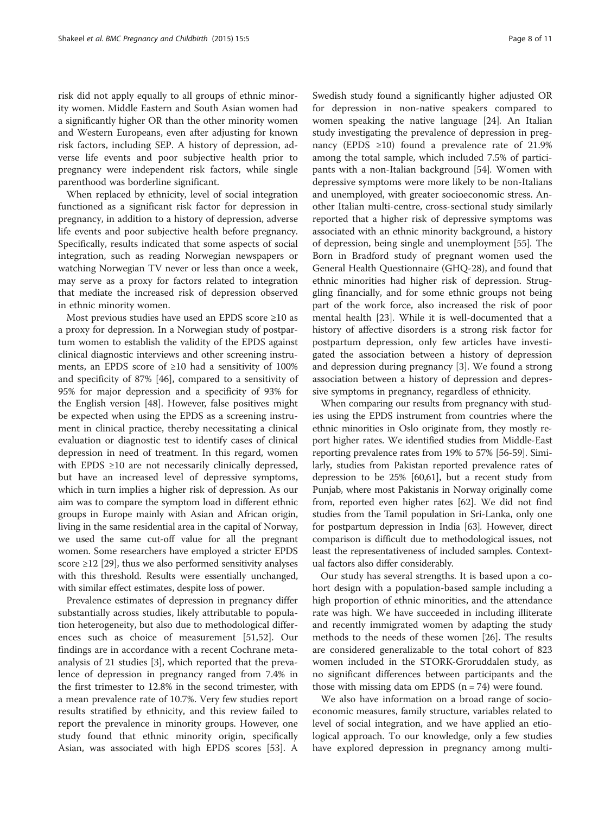risk did not apply equally to all groups of ethnic minority women. Middle Eastern and South Asian women had a significantly higher OR than the other minority women and Western Europeans, even after adjusting for known risk factors, including SEP. A history of depression, adverse life events and poor subjective health prior to pregnancy were independent risk factors, while single parenthood was borderline significant.

When replaced by ethnicity, level of social integration functioned as a significant risk factor for depression in pregnancy, in addition to a history of depression, adverse life events and poor subjective health before pregnancy. Specifically, results indicated that some aspects of social integration, such as reading Norwegian newspapers or watching Norwegian TV never or less than once a week, may serve as a proxy for factors related to integration that mediate the increased risk of depression observed in ethnic minority women.

Most previous studies have used an EPDS score ≥10 as a proxy for depression. In a Norwegian study of postpartum women to establish the validity of the EPDS against clinical diagnostic interviews and other screening instruments, an EPDS score of ≥10 had a sensitivity of 100% and specificity of 87% [[46\]](#page-10-0), compared to a sensitivity of 95% for major depression and a specificity of 93% for the English version [\[48\]](#page-10-0). However, false positives might be expected when using the EPDS as a screening instrument in clinical practice, thereby necessitating a clinical evaluation or diagnostic test to identify cases of clinical depression in need of treatment. In this regard, women with EPDS  $\geq$ 10 are not necessarily clinically depressed, but have an increased level of depressive symptoms, which in turn implies a higher risk of depression. As our aim was to compare the symptom load in different ethnic groups in Europe mainly with Asian and African origin, living in the same residential area in the capital of Norway, we used the same cut-off value for all the pregnant women. Some researchers have employed a stricter EPDS score  $\geq$ 12 [\[29](#page-9-0)], thus we also performed sensitivity analyses with this threshold. Results were essentially unchanged, with similar effect estimates, despite loss of power.

Prevalence estimates of depression in pregnancy differ substantially across studies, likely attributable to population heterogeneity, but also due to methodological differences such as choice of measurement [[51,52\]](#page-10-0). Our findings are in accordance with a recent Cochrane metaanalysis of 21 studies [\[3\]](#page-9-0), which reported that the prevalence of depression in pregnancy ranged from 7.4% in the first trimester to 12.8% in the second trimester, with a mean prevalence rate of 10.7%. Very few studies report results stratified by ethnicity, and this review failed to report the prevalence in minority groups. However, one study found that ethnic minority origin, specifically Asian, was associated with high EPDS scores [\[53\]](#page-10-0). A

Swedish study found a significantly higher adjusted OR for depression in non-native speakers compared to women speaking the native language [\[24](#page-9-0)]. An Italian study investigating the prevalence of depression in pregnancy (EPDS ≥10) found a prevalence rate of 21.9% among the total sample, which included 7.5% of participants with a non-Italian background [[54\]](#page-10-0). Women with depressive symptoms were more likely to be non-Italians and unemployed, with greater socioeconomic stress. Another Italian multi-centre, cross-sectional study similarly reported that a higher risk of depressive symptoms was associated with an ethnic minority background, a history of depression, being single and unemployment [[55\]](#page-10-0). The Born in Bradford study of pregnant women used the

General Health Questionnaire (GHQ-28), and found that ethnic minorities had higher risk of depression. Struggling financially, and for some ethnic groups not being part of the work force, also increased the risk of poor mental health [[23\]](#page-9-0). While it is well-documented that a history of affective disorders is a strong risk factor for postpartum depression, only few articles have investigated the association between a history of depression and depression during pregnancy [[3](#page-9-0)]. We found a strong association between a history of depression and depressive symptoms in pregnancy, regardless of ethnicity.

When comparing our results from pregnancy with studies using the EPDS instrument from countries where the ethnic minorities in Oslo originate from, they mostly report higher rates. We identified studies from Middle-East reporting prevalence rates from 19% to 57% [\[56](#page-10-0)-[59](#page-10-0)]. Similarly, studies from Pakistan reported prevalence rates of depression to be 25% [[60,61](#page-10-0)], but a recent study from Punjab, where most Pakistanis in Norway originally come from, reported even higher rates [\[62\]](#page-10-0). We did not find studies from the Tamil population in Sri-Lanka, only one for postpartum depression in India [[63](#page-10-0)]. However, direct comparison is difficult due to methodological issues, not least the representativeness of included samples. Contextual factors also differ considerably.

Our study has several strengths. It is based upon a cohort design with a population-based sample including a high proportion of ethnic minorities, and the attendance rate was high. We have succeeded in including illiterate and recently immigrated women by adapting the study methods to the needs of these women [[26\]](#page-9-0). The results are considered generalizable to the total cohort of 823 women included in the STORK-Groruddalen study, as no significant differences between participants and the those with missing data om EPDS  $(n = 74)$  were found.

We also have information on a broad range of socioeconomic measures, family structure, variables related to level of social integration, and we have applied an etiological approach. To our knowledge, only a few studies have explored depression in pregnancy among multi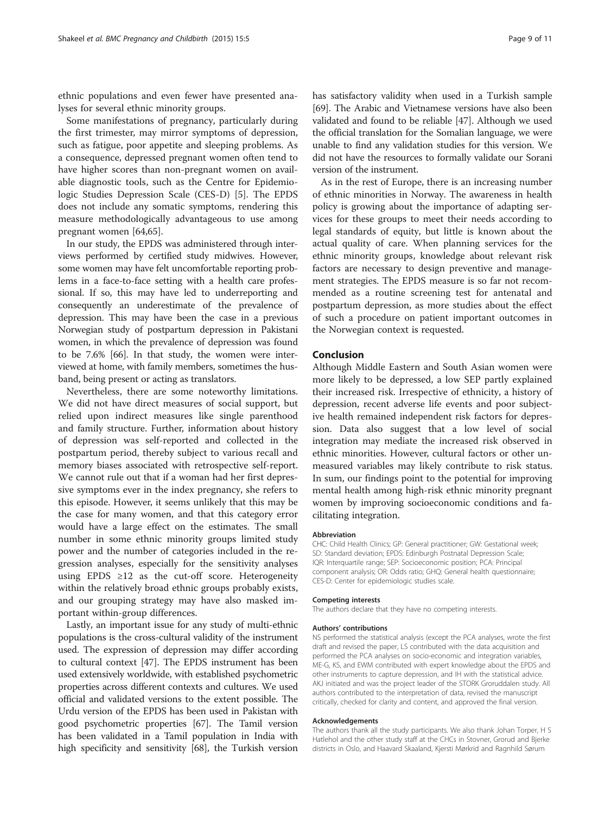ethnic populations and even fewer have presented analyses for several ethnic minority groups.

Some manifestations of pregnancy, particularly during the first trimester, may mirror symptoms of depression, such as fatigue, poor appetite and sleeping problems. As a consequence, depressed pregnant women often tend to have higher scores than non-pregnant women on available diagnostic tools, such as the Centre for Epidemiologic Studies Depression Scale (CES-D) [\[5\]](#page-9-0). The EPDS does not include any somatic symptoms, rendering this measure methodologically advantageous to use among pregnant women [\[64,65\]](#page-10-0).

In our study, the EPDS was administered through interviews performed by certified study midwives. However, some women may have felt uncomfortable reporting problems in a face-to-face setting with a health care professional. If so, this may have led to underreporting and consequently an underestimate of the prevalence of depression. This may have been the case in a previous Norwegian study of postpartum depression in Pakistani women, in which the prevalence of depression was found to be 7.6% [\[66](#page-10-0)]. In that study, the women were interviewed at home, with family members, sometimes the husband, being present or acting as translators.

Nevertheless, there are some noteworthy limitations. We did not have direct measures of social support, but relied upon indirect measures like single parenthood and family structure. Further, information about history of depression was self-reported and collected in the postpartum period, thereby subject to various recall and memory biases associated with retrospective self-report. We cannot rule out that if a woman had her first depressive symptoms ever in the index pregnancy, she refers to this episode. However, it seems unlikely that this may be the case for many women, and that this category error would have a large effect on the estimates. The small number in some ethnic minority groups limited study power and the number of categories included in the regression analyses, especially for the sensitivity analyses using EPDS  $\geq 12$  as the cut-off score. Heterogeneity within the relatively broad ethnic groups probably exists, and our grouping strategy may have also masked important within-group differences.

Lastly, an important issue for any study of multi-ethnic populations is the cross-cultural validity of the instrument used. The expression of depression may differ according to cultural context [\[47](#page-10-0)]. The EPDS instrument has been used extensively worldwide, with established psychometric properties across different contexts and cultures. We used official and validated versions to the extent possible. The Urdu version of the EPDS has been used in Pakistan with good psychometric properties [\[67\]](#page-10-0). The Tamil version has been validated in a Tamil population in India with high specificity and sensitivity [\[68](#page-10-0)], the Turkish version has satisfactory validity when used in a Turkish sample [[69](#page-10-0)]. The Arabic and Vietnamese versions have also been validated and found to be reliable [\[47\]](#page-10-0). Although we used the official translation for the Somalian language, we were unable to find any validation studies for this version. We did not have the resources to formally validate our Sorani version of the instrument.

As in the rest of Europe, there is an increasing number of ethnic minorities in Norway. The awareness in health policy is growing about the importance of adapting services for these groups to meet their needs according to legal standards of equity, but little is known about the actual quality of care. When planning services for the ethnic minority groups, knowledge about relevant risk factors are necessary to design preventive and management strategies. The EPDS measure is so far not recommended as a routine screening test for antenatal and postpartum depression, as more studies about the effect of such a procedure on patient important outcomes in the Norwegian context is requested.

#### Conclusion

Although Middle Eastern and South Asian women were more likely to be depressed, a low SEP partly explained their increased risk. Irrespective of ethnicity, a history of depression, recent adverse life events and poor subjective health remained independent risk factors for depression. Data also suggest that a low level of social integration may mediate the increased risk observed in ethnic minorities. However, cultural factors or other unmeasured variables may likely contribute to risk status. In sum, our findings point to the potential for improving mental health among high-risk ethnic minority pregnant women by improving socioeconomic conditions and facilitating integration.

#### Abbreviation

CHC: Child Health Clinics; GP: General practitioner; GW: Gestational week; SD: Standard deviation; EPDS: Edinburgh Postnatal Depression Scale; IQR: Interquartile range; SEP: Socioeconomic position; PCA: Principal component analysis; OR: Odds ratio; GHQ: General health questionnaire; CES-D: Center for epidemiologic studies scale.

#### Competing interests

The authors declare that they have no competing interests.

#### Authors' contributions

NS performed the statistical analysis (except the PCA analyses, wrote the first draft and revised the paper, LS contributed with the data acquisition and performed the PCA analyses on socio-economic and integration variables, ME-G, KS, and EWM contributed with expert knowledge about the EPDS and other instruments to capture depression, and IH with the statistical advice. AKJ initiated and was the project leader of the STORK Groruddalen study. All authors contributed to the interpretation of data, revised the manuscript critically, checked for clarity and content, and approved the final version.

#### Acknowledgements

The authors thank all the study participants. We also thank Johan Torper, H S Hatlehol and the other study staff at the CHCs in Stovner, Grorud and Bjerke districts in Oslo, and Haavard Skaaland, Kjersti Mørkrid and Ragnhild Sørum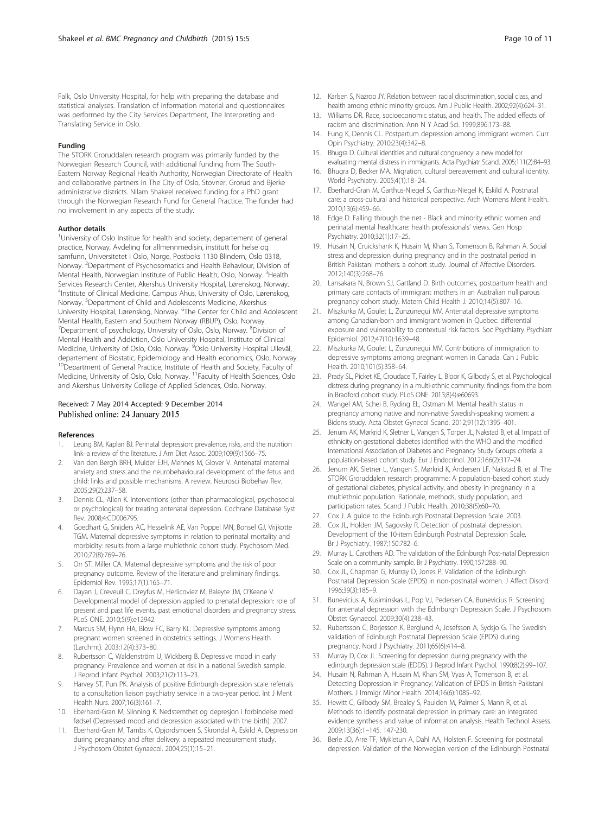<span id="page-9-0"></span>Falk, Oslo University Hospital, for help with preparing the database and statistical analyses. Translation of information material and questionnaires was performed by the City Services Department, The Interpreting and Translating Service in Oslo.

#### Funding

The STORK Groruddalen research program was primarily funded by the Norwegian Research Council, with additional funding from The South-Eastern Norway Regional Health Authority, Norwegian Directorate of Health and collaborative partners in The City of Oslo, Stovner, Grorud and Bjerke administrative districts. Nilam Shakeel received funding for a PhD grant through the Norwegian Research Fund for General Practice. The funder had no involvement in any aspects of the study.

#### Author details

<sup>1</sup>University of Oslo Institue for health and society, departement of general practice, Norway, Avdeling for allmennmedisin, institutt for helse og samfunn, Universitetet i Oslo, Norge, Postboks 1130 Blindern, Oslo 0318, Norway. <sup>2</sup>Department of Psychosomatics and Health Behaviour, Division of Mental Health, Norwegian Institute of Public Health, Oslo, Norway. <sup>3</sup>Health Services Research Center, Akershus University Hospital, Lørenskog, Norway. 4 Institute of Clinical Medicine, Campus Ahus, University of Oslo, Lørenskog, Norway. <sup>5</sup>Department of Child and Adolescents Medicine, Akershus University Hospital, Lørenskog, Norway. <sup>6</sup>The Center for Child and Adolescent Mental Health, Eastern and Southern Norway (RBUP), Oslo, Norway. <sup>7</sup>Department of psychology, University of Oslo, Oslo, Norway. <sup>8</sup>Division of Mental Health and Addiction, Oslo University Hospital, Institute of Clinical Medicine, University of Oslo, Oslo, Norway. <sup>9</sup>Oslo University Hospital Ullevål, departement of Biostatic, Epidemiology and Health economics, Oslo, Norway. <sup>10</sup>Department of General Practice, Institute of Health and Society, Faculty of Medicine, University of Oslo, Oslo, Norway. 11Faculty of Health Sciences, Oslo and Akershus University College of Applied Sciences, Oslo, Norway.

## Received: 7 May 2014 Accepted: 9 December 2014 Published online: 24 January 2015

#### References

- Leung BM, Kaplan BJ. Perinatal depression: prevalence, risks, and the nutrition link–a review of the literature. J Am Diet Assoc. 2009;109(9):1566–75.
- 2. Van den Bergh BRH, Mulder EJH, Mennes M, Glover V. Antenatal maternal anxiety and stress and the neurobehavioural development of the fetus and child: links and possible mechanisms. A review. Neurosci Biobehav Rev. 2005;29(2):237–58.
- 3. Dennis CL, Allen K. Interventions (other than pharmacological, psychosocial or psychological) for treating antenatal depression. Cochrane Database Syst Rev. 2008;4:CD006795.
- 4. Goedhart G, Snijders AC, Hesselink AE, Van Poppel MN, Bonsel GJ, Vrijkotte TGM. Maternal depressive symptoms in relation to perinatal mortality and morbidity: results from a large multiethnic cohort study. Psychosom Med. 2010;72(8):769–76.
- 5. Orr ST, Miller CA. Maternal depressive symptoms and the risk of poor pregnancy outcome. Review of the literature and preliminary findings. Epidemiol Rev. 1995;17(1):165–71.
- 6. Dayan J, Creveuil C, Dreyfus M, Herlicoviez M, Baleyte JM, O'Keane V. Developmental model of depression applied to prenatal depression: role of present and past life events, past emotional disorders and pregnancy stress. PLoS ONE. 2010;5(9):e12942.
- 7. Marcus SM, Flynn HA, Blow FC, Barry KL. Depressive symptoms among pregnant women screened in obstetrics settings. J Womens Health (Larchmt). 2003;12(4):373–80.
- Rubertsson C, Waldenström U, Wickberg B. Depressive mood in early pregnancy: Prevalence and women at risk in a national Swedish sample. J Reprod Infant Psychol. 2003;21(2):113–23.
- 9. Harvey ST, Pun PK. Analysis of positive Edinburgh depression scale referrals to a consultation liaison psychiatry service in a two-year period. Int J Ment Health Nurs. 2007;16(3):161–7.
- 10. Eberhard-Gran M, Slinning K. Nedstemthet og depresjon i forbindelse med fødsel (Depressed mood and depression associated with the birth). 2007.
- 11. Eberhard-Gran M, Tambs K, Opjordsmoen S, Skrondal A, Eskild A. Depression during pregnancy and after delivery: a repeated measurement study. J Psychosom Obstet Gynaecol. 2004;25(1):15–21.
- 12. Karlsen S, Nazroo JY. Relation between racial discrimination, social class, and health among ethnic minority groups. Am J Public Health. 2002;92(4):624–31.
- 13. Williams DR. Race, socioeconomic status, and health. The added effects of racism and discrimination. Ann N Y Acad Sci. 1999;896:173–88.
- 14. Fung K, Dennis CL. Postpartum depression among immigrant women. Curr Opin Psychiatry. 2010;23(4):342–8.
- 15. Bhugra D. Cultural identities and cultural congruency: a new model for evaluating mental distress in immigrants. Acta Psychiatr Scand. 2005;111(2):84–93.
- 16. Bhugra D, Becker MA. Migration, cultural bereavement and cultural identity. World Psychiatry. 2005;4(1):18–24.
- 17. Eberhard-Gran M, Garthus-Niegel S, Garthus-Niegel K, Eskild A. Postnatal care: a cross-cultural and historical perspective. Arch Womens Ment Health. 2010;13(6):459–66.
- 18. Edge D. Falling through the net Black and minority ethnic women and perinatal mental healthcare: health professionals' views. Gen Hosp Psychiatry. 2010;32(1):17–25.
- 19. Husain N, Cruickshank K, Husain M, Khan S, Tomenson B, Rahman A. Social stress and depression during pregnancy and in the postnatal period in British Pakistani mothers: a cohort study. Journal of Affective Disorders. 2012;140(3):268–76.
- 20. Lansakara N, Brown SJ, Gartland D. Birth outcomes, postpartum health and primary care contacts of immigrant mothers in an Australian nulliparous pregnancy cohort study. Matern Child Health J. 2010;14(5):807–16.
- 21. Miszkurka M, Goulet L, Zunzunegui MV. Antenatal depressive symptoms among Canadian-born and immigrant women in Quebec: differential exposure and vulnerability to contextual risk factors. Soc Psychiatry Psychiatr Epidemiol. 2012;47(10):1639–48.
- 22. Miszkurka M, Goulet L, Zunzunegui MV. Contributions of immigration to depressive symptoms among pregnant women in Canada. Can J Public Health. 2010;101(5):358–64.
- 23. Prady SL, Picket KE, Croudace T, Fairley L, Bloor K, Gilbody S, et al. Psychological distress during pregnancy in a multi-ethnic community: findings from the born in Bradford cohort study. PLoS ONE. 2013;8(4):e60693.
- 24. Wangel AM, Schei B, Ryding EL, Ostman M. Mental health status in pregnancy among native and non-native Swedish-speaking women: a Bidens study. Acta Obstet Gynecol Scand. 2012;91(12):1395–401.
- 25. Jenum AK, Mørkrid K, Sletner L, Vangen S, Torper JL, Nakstad B, et al. Impact of ethnicity on gestational diabetes identified with the WHO and the modified International Association of Diabetes and Pregnancy Study Groups criteria: a population-based cohort study. Eur J Endocrinol. 2012;166(2):317–24.
- 26. Jenum AK, Sletner L, Vangen S, Mørkrid K, Andersen LF, Nakstad B, et al. The STORK Groruddalen research programme: A population-based cohort study of gestational diabetes, physical activity, and obesity in pregnancy in a multiethnic population. Rationale, methods, study population, and participation rates. Scand J Public Health. 2010;38(5):60–70.
- 27. Cox J. A guide to the Edinburgh Postnatal Depression Scale. 2003.
- 28. Cox JL, Holden JM, Sagovsky R. Detection of postnatal depression. Development of the 10-item Edinburgh Postnatal Depression Scale. Br J Psychiatry. 1987;150:782–6.
- 29. Murray L, Carothers AD. The validation of the Edinburgh Post-natal Depression Scale on a community sample. Br J Psychiatry. 1990;157:288–90.
- 30. Cox JL, Chapman G, Murray D, Jones P. Validation of the Edinburgh Postnatal Depression Scale (EPDS) in non-postnatal women. J Affect Disord. 1996;39(3):185–9.
- 31. Bunevicius A, Kusiminskas L, Pop VJ, Pedersen CA, Bunevicius R. Screening for antenatal depression with the Edinburgh Depression Scale. J Psychosom Obstet Gynaecol. 2009;30(4):238–43.
- 32. Rubertsson C, Borjesson K, Berglund A, Josefsson A, Sydsjo G. The Swedish validation of Edinburgh Postnatal Depression Scale (EPDS) during pregnancy. Nord J Psychiatry. 2011;65(6):414–8.
- 33. Murray D, Cox JL. Screening for depression during pregnancy with the edinburgh depression scale (EDDS). J Reprod Infant Psychol. 1990;8(2):99–107.
- 34. Husain N, Rahman A, Husain M, Khan SM, Vyas A, Tomenson B, et al. Detecting Depression in Pregnancy: Validation of EPDS in British Pakistani Mothers. J Immigr Minor Health. 2014;16(6):1085–92.
- 35. Hewitt C, Gilbody SM, Brealey S, Paulden M, Palmer S, Mann R, et al. Methods to identify postnatal depression in primary care: an integrated evidence synthesis and value of information analysis. Health Technol Assess. 2009;13(36):1–145. 147-230.
- 36. Berle JO, Arre TF, Mykletun A, Dahl AA, Holsten F. Screening for postnatal depression. Validation of the Norwegian version of the Edinburgh Postnatal